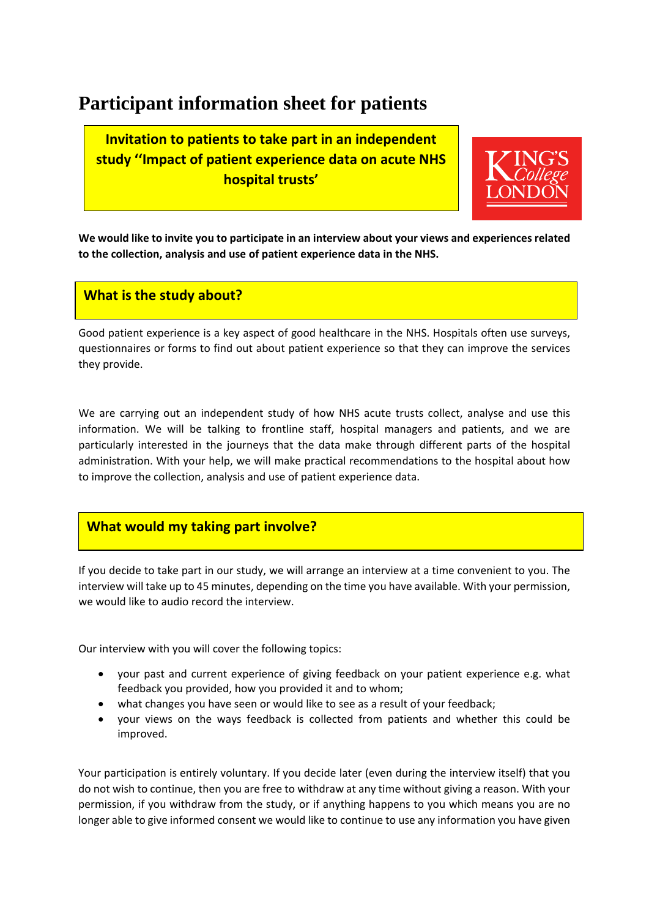# **Participant information sheet for patients**

**Invitation to patients to take part in an independent study ''Impact of patient experience data on acute NHS hospital trusts'**



**We would like to invite you to participate in an interview about your views and experiences related to the collection, analysis and use of patient experience data in the NHS.** 

## **What is the study about?**

Good patient experience is a key aspect of good healthcare in the NHS. Hospitals often use surveys, questionnaires or forms to find out about patient experience so that they can improve the services they provide.

We are carrying out an independent study of how NHS acute trusts collect, analyse and use this information. We will be talking to frontline staff, hospital managers and patients, and we are particularly interested in the journeys that the data make through different parts of the hospital administration. With your help, we will make practical recommendations to the hospital about how to improve the collection, analysis and use of patient experience data.

## **What would my taking part involve?**

If you decide to take part in our study, we will arrange an interview at a time convenient to you. The interview will take up to 45 minutes, depending on the time you have available. With your permission, we would like to audio record the interview.

Our interview with you will cover the following topics:

- your past and current experience of giving feedback on your patient experience e.g. what feedback you provided, how you provided it and to whom;
- what changes you have seen or would like to see as a result of your feedback;
- your views on the ways feedback is collected from patients and whether this could be improved.

Your participation is entirely voluntary. If you decide later (even during the interview itself) that you do not wish to continue, then you are free to withdraw at any time without giving a reason. With your permission, if you withdraw from the study, or if anything happens to you which means you are no longer able to give informed consent we would like to continue to use any information you have given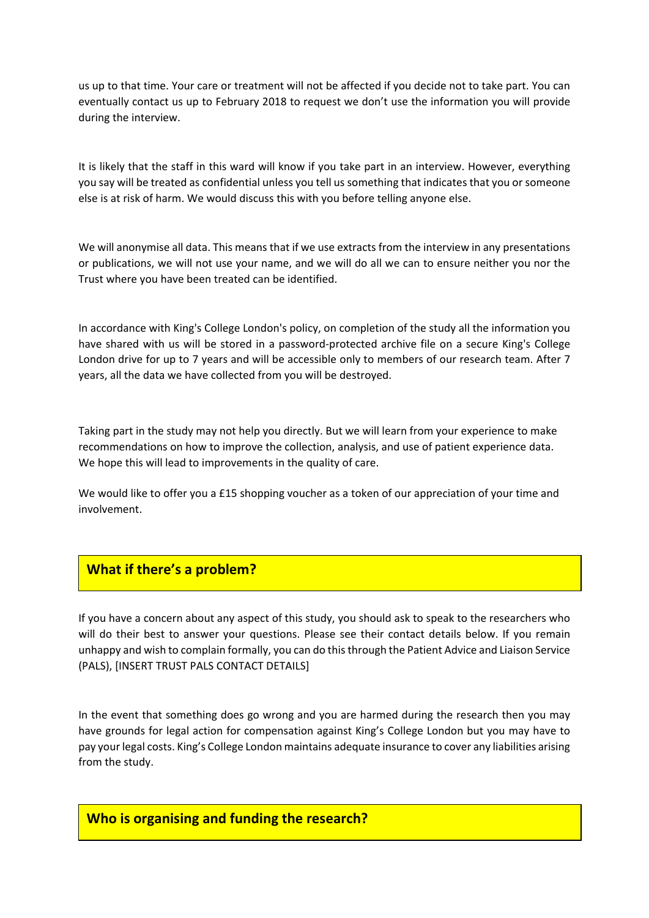us up to that time. Your care or treatment will not be affected if you decide not to take part. You can eventually contact us up to February 2018 to request we don't use the information you will provide during the interview.

It is likely that the staff in this ward will know if you take part in an interview. However, everything you say will be treated as confidential unless you tell us something that indicates that you or someone else is at risk of harm. We would discuss this with you before telling anyone else.

We will anonymise all data. This means that if we use extracts from the interview in any presentations or publications, we will not use your name, and we will do all we can to ensure neither you nor the Trust where you have been treated can be identified.

In accordance with King's College London's policy, on completion of the study all the information you have shared with us will be stored in a password-protected archive file on a secure King's College London drive for up to 7 years and will be accessible only to members of our research team. After 7 years, all the data we have collected from you will be destroyed.

Taking part in the study may not help you directly. But we will learn from your experience to make recommendations on how to improve the collection, analysis, and use of patient experience data. We hope this will lead to improvements in the quality of care.

We would like to offer you a £15 shopping voucher as a token of our appreciation of your time and involvement.

## **What if there's a problem?**

If you have a concern about any aspect of this study, you should ask to speak to the researchers who will do their best to answer your questions. Please see their contact details below. If you remain unhappy and wish to complain formally, you can do this through the Patient Advice and Liaison Service (PALS), [INSERT TRUST PALS CONTACT DETAILS]

In the event that something does go wrong and you are harmed during the research then you may have grounds for legal action for compensation against King's College London but you may have to pay your legal costs. King's College London maintains adequate insurance to cover any liabilities arising from the study.

**Who is organising and funding the research?**